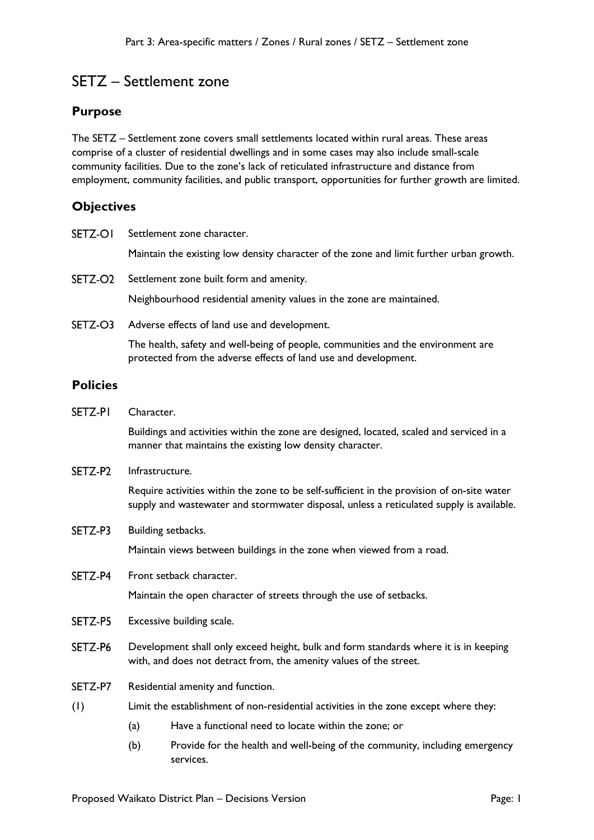# SETZ – Settlement zone

### **Purpose**

The SETZ – Settlement zone covers small settlements located within rural areas. These areas comprise of a cluster of residential dwellings and in some cases may also include small-scale community facilities. Due to the zone's lack of reticulated infrastructure and distance from employment, community facilities, and public transport, opportunities for further growth are limited.

### **Objectives**

| SETZ-OI         | Settlement zone character.                                                                                                                                 |                                                                                                                                                                                        |  |
|-----------------|------------------------------------------------------------------------------------------------------------------------------------------------------------|----------------------------------------------------------------------------------------------------------------------------------------------------------------------------------------|--|
|                 |                                                                                                                                                            | Maintain the existing low density character of the zone and limit further urban growth.                                                                                                |  |
| SETZ-O2         | Settlement zone built form and amenity.                                                                                                                    |                                                                                                                                                                                        |  |
|                 |                                                                                                                                                            | Neighbourhood residential amenity values in the zone are maintained.                                                                                                                   |  |
| SETZ-O3         |                                                                                                                                                            | Adverse effects of land use and development.                                                                                                                                           |  |
|                 |                                                                                                                                                            | The health, safety and well-being of people, communities and the environment are<br>protected from the adverse effects of land use and development.                                    |  |
| <b>Policies</b> |                                                                                                                                                            |                                                                                                                                                                                        |  |
| SETZ-PI         | Character.                                                                                                                                                 |                                                                                                                                                                                        |  |
|                 |                                                                                                                                                            | Buildings and activities within the zone are designed, located, scaled and serviced in a<br>manner that maintains the existing low density character.                                  |  |
| SETZ-P2         | Infrastructure.                                                                                                                                            |                                                                                                                                                                                        |  |
|                 |                                                                                                                                                            | Require activities within the zone to be self-sufficient in the provision of on-site water<br>supply and wastewater and stormwater disposal, unless a reticulated supply is available. |  |
| SETZ-P3         |                                                                                                                                                            | Building setbacks.                                                                                                                                                                     |  |
|                 |                                                                                                                                                            | Maintain views between buildings in the zone when viewed from a road.                                                                                                                  |  |
| SETZ-P4         |                                                                                                                                                            | Front setback character.                                                                                                                                                               |  |
|                 |                                                                                                                                                            | Maintain the open character of streets through the use of setbacks.                                                                                                                    |  |
| SETZ-P5         | Excessive building scale.                                                                                                                                  |                                                                                                                                                                                        |  |
| SETZ-P6         | Development shall only exceed height, bulk and form standards where it is in keeping<br>with, and does not detract from, the amenity values of the street. |                                                                                                                                                                                        |  |
| SETZ-P7         | Residential amenity and function.                                                                                                                          |                                                                                                                                                                                        |  |
| (1)             | Limit the establishment of non-residential activities in the zone except where they:                                                                       |                                                                                                                                                                                        |  |
|                 | (a)                                                                                                                                                        | Have a functional need to locate within the zone; or                                                                                                                                   |  |
|                 | (b)                                                                                                                                                        | Provide for the health and well-being of the community, including emergency<br>services.                                                                                               |  |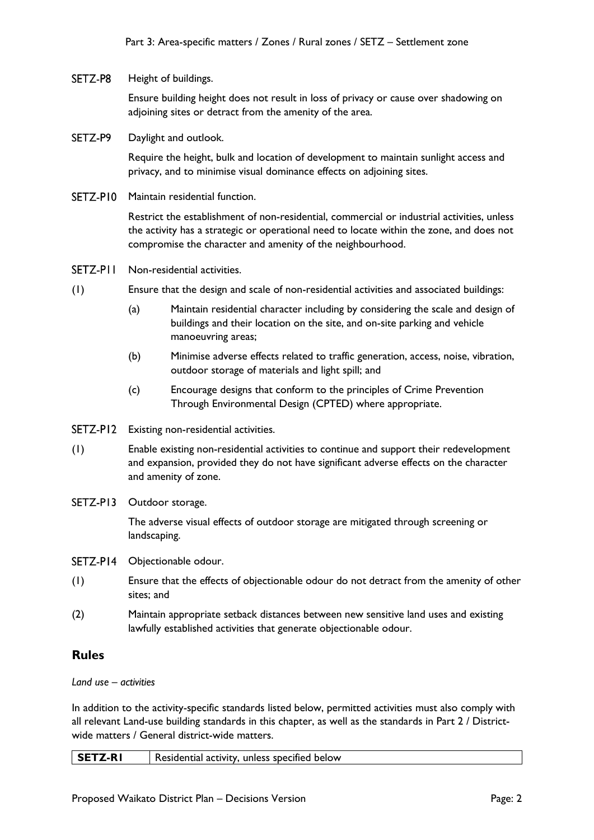#### SETZ-P8 Height of buildings.

Ensure building height does not result in loss of privacy or cause over shadowing on adjoining sites or detract from the amenity of the area.

SETZ-P9 Daylight and outlook.

> Require the height, bulk and location of development to maintain sunlight access and privacy, and to minimise visual dominance effects on adjoining sites.

SETZ-P10 Maintain residential function.

Restrict the establishment of non-residential, commercial or industrial activities, unless the activity has a strategic or operational need to locate within the zone, and does not compromise the character and amenity of the neighbourhood.

- SFT7-PII Non-residential activities.
- (1) Ensure that the design and scale of non-residential activities and associated buildings:
	- (a) Maintain residential character including by considering the scale and design of buildings and their location on the site, and on-site parking and vehicle manoeuvring areas;
	- (b) Minimise adverse effects related to traffic generation, access, noise, vibration, outdoor storage of materials and light spill; and
	- (c) Encourage designs that conform to the principles of Crime Prevention Through Environmental Design (CPTED) where appropriate.
- SETZ-P12 Existing non-residential activities.
- (1) Enable existing non-residential activities to continue and support their redevelopment and expansion, provided they do not have significant adverse effects on the character and amenity of zone.
- SETZ-P13 Outdoor storage.

The adverse visual effects of outdoor storage are mitigated through screening or landscaping.

- SETZ-P14 Objectionable odour.
- (1) Ensure that the effects of objectionable odour do not detract from the amenity of other sites; and
- (2) Maintain appropriate setback distances between new sensitive land uses and existing lawfully established activities that generate objectionable odour.

## **Rules**

### *Land use – activities*

In addition to the activity-specific standards listed below, permitted activities must also comply with all relevant Land-use building standards in this chapter, as well as the standards in Part 2 / Districtwide matters / General district-wide matters.

| SETZ-RI | Residential activity, unless specified below |
|---------|----------------------------------------------|
|         |                                              |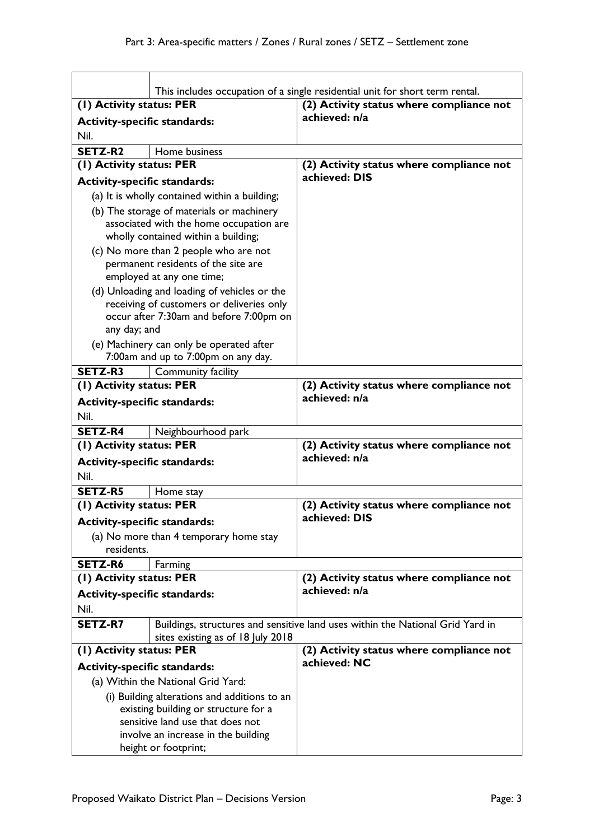|                                             | This includes occupation of a single residential unit for short term rental.   |                                                                                |  |
|---------------------------------------------|--------------------------------------------------------------------------------|--------------------------------------------------------------------------------|--|
| (1) Activity status: PER                    |                                                                                | (2) Activity status where compliance not                                       |  |
|                                             |                                                                                | achieved: n/a                                                                  |  |
| <b>Activity-specific standards:</b>         |                                                                                |                                                                                |  |
| Nil.                                        |                                                                                |                                                                                |  |
| SETZ-R2                                     | Home business                                                                  |                                                                                |  |
| (1) Activity status: PER                    |                                                                                | (2) Activity status where compliance not<br>achieved: DIS                      |  |
| <b>Activity-specific standards:</b>         |                                                                                |                                                                                |  |
|                                             | (a) It is wholly contained within a building;                                  |                                                                                |  |
|                                             | (b) The storage of materials or machinery                                      |                                                                                |  |
|                                             | associated with the home occupation are<br>wholly contained within a building; |                                                                                |  |
|                                             | (c) No more than 2 people who are not                                          |                                                                                |  |
|                                             | permanent residents of the site are                                            |                                                                                |  |
|                                             | employed at any one time;                                                      |                                                                                |  |
|                                             | (d) Unloading and loading of vehicles or the                                   |                                                                                |  |
|                                             | receiving of customers or deliveries only                                      |                                                                                |  |
|                                             | occur after 7:30am and before 7:00pm on                                        |                                                                                |  |
| any day; and                                |                                                                                |                                                                                |  |
|                                             | (e) Machinery can only be operated after                                       |                                                                                |  |
|                                             | 7:00am and up to 7:00pm on any day.                                            |                                                                                |  |
| SETZ-R3                                     | Community facility                                                             |                                                                                |  |
| (1) Activity status: PER                    |                                                                                | (2) Activity status where compliance not<br>achieved: n/a                      |  |
| <b>Activity-specific standards:</b>         |                                                                                |                                                                                |  |
| Nil.                                        |                                                                                |                                                                                |  |
| <b>SETZ-R4</b>                              | Neighbourhood park                                                             |                                                                                |  |
| (1) Activity status: PER                    |                                                                                | (2) Activity status where compliance not<br>achieved: n/a                      |  |
| <b>Activity-specific standards:</b>         |                                                                                |                                                                                |  |
| Nil.                                        |                                                                                |                                                                                |  |
| <b>SETZ-R5</b>                              | Home stay                                                                      |                                                                                |  |
| (1) Activity status: PER                    |                                                                                | (2) Activity status where compliance not<br>achieved: DIS                      |  |
| <b>Activity-specific standards:</b>         |                                                                                |                                                                                |  |
| residents.                                  | (a) No more than 4 temporary home stay                                         |                                                                                |  |
|                                             |                                                                                |                                                                                |  |
| SETZ-R6<br>(I) Activity status: PER         | Farming                                                                        | (2) Activity status where compliance not                                       |  |
|                                             |                                                                                | achieved: n/a                                                                  |  |
| <b>Activity-specific standards:</b><br>Nil. |                                                                                |                                                                                |  |
| <b>SETZ-R7</b>                              |                                                                                | Buildings, structures and sensitive land uses within the National Grid Yard in |  |
|                                             | sites existing as of 18 July 2018                                              |                                                                                |  |
| (1) Activity status: PER                    |                                                                                | (2) Activity status where compliance not                                       |  |
| <b>Activity-specific standards:</b>         |                                                                                | achieved: NC                                                                   |  |
| (a) Within the National Grid Yard:          |                                                                                |                                                                                |  |
|                                             | (i) Building alterations and additions to an                                   |                                                                                |  |
|                                             | existing building or structure for a                                           |                                                                                |  |
|                                             | sensitive land use that does not                                               |                                                                                |  |
|                                             | involve an increase in the building                                            |                                                                                |  |
| height or footprint;                        |                                                                                |                                                                                |  |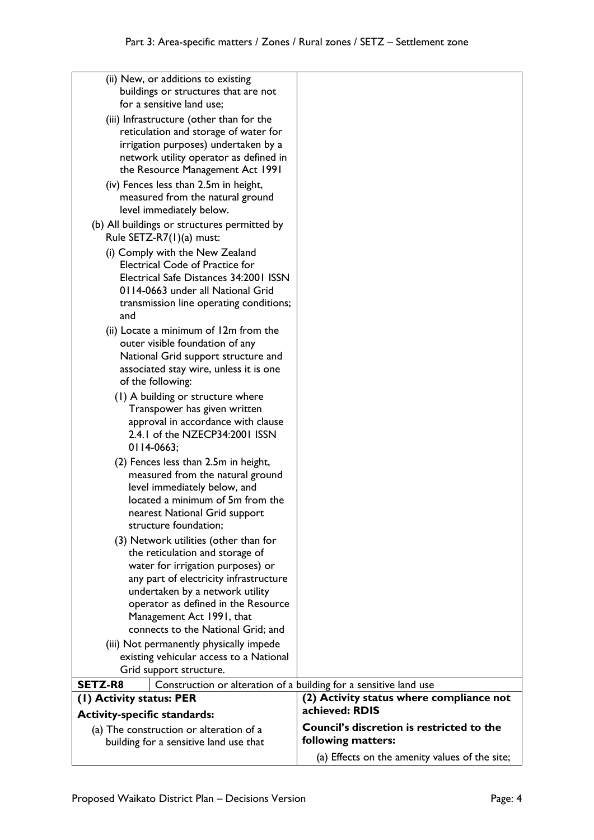| (a) Effects on the amenity values of the site;                    |
|-------------------------------------------------------------------|
| following matters:                                                |
| <b>Council's discretion is restricted to the</b>                  |
| (2) Activity status where compliance not<br>achieved: RDIS        |
| Construction or alteration of a building for a sensitive land use |
|                                                                   |
|                                                                   |
|                                                                   |
|                                                                   |
|                                                                   |
|                                                                   |
|                                                                   |
|                                                                   |
|                                                                   |
|                                                                   |
|                                                                   |
|                                                                   |
|                                                                   |
|                                                                   |
|                                                                   |
|                                                                   |
|                                                                   |
|                                                                   |
|                                                                   |
|                                                                   |
|                                                                   |
|                                                                   |
|                                                                   |
|                                                                   |
|                                                                   |
|                                                                   |
|                                                                   |
|                                                                   |
|                                                                   |
|                                                                   |
|                                                                   |
|                                                                   |
|                                                                   |
|                                                                   |
|                                                                   |
|                                                                   |
|                                                                   |
|                                                                   |
|                                                                   |
|                                                                   |
|                                                                   |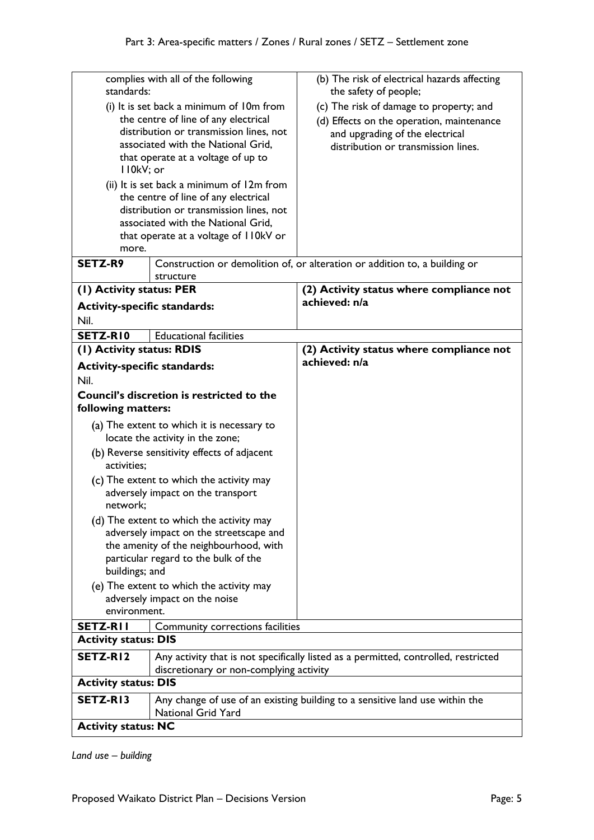| complies with all of the following<br>standards:                                         |                                             | (b) The risk of electrical hazards affecting<br>the safety of people;               |
|------------------------------------------------------------------------------------------|---------------------------------------------|-------------------------------------------------------------------------------------|
| (i) It is set back a minimum of 10m from                                                 |                                             | (c) The risk of damage to property; and                                             |
|                                                                                          | the centre of line of any electrical        | (d) Effects on the operation, maintenance                                           |
|                                                                                          | distribution or transmission lines, not     | and upgrading of the electrical                                                     |
|                                                                                          | associated with the National Grid,          | distribution or transmission lines.                                                 |
|                                                                                          | that operate at a voltage of up to          |                                                                                     |
| I I0kV; or                                                                               |                                             |                                                                                     |
|                                                                                          | (ii) It is set back a minimum of 12m from   |                                                                                     |
|                                                                                          | the centre of line of any electrical        |                                                                                     |
|                                                                                          | distribution or transmission lines, not     |                                                                                     |
|                                                                                          | associated with the National Grid,          |                                                                                     |
|                                                                                          | that operate at a voltage of 110kV or       |                                                                                     |
| more.                                                                                    |                                             |                                                                                     |
| <b>SETZ-R9</b>                                                                           |                                             | Construction or demolition of, or alteration or addition to, a building or          |
|                                                                                          | structure                                   |                                                                                     |
| (1) Activity status: PER                                                                 |                                             | (2) Activity status where compliance not                                            |
| <b>Activity-specific standards:</b>                                                      |                                             | achieved: n/a                                                                       |
| Nil.                                                                                     |                                             |                                                                                     |
| SETZ-RIO                                                                                 | <b>Educational facilities</b>               |                                                                                     |
| (1) Activity status: RDIS                                                                |                                             | (2) Activity status where compliance not                                            |
|                                                                                          |                                             | achieved: n/a                                                                       |
| <b>Activity-specific standards:</b>                                                      |                                             |                                                                                     |
| Nil.                                                                                     |                                             |                                                                                     |
|                                                                                          | Council's discretion is restricted to the   |                                                                                     |
| following matters:                                                                       |                                             |                                                                                     |
|                                                                                          | (a) The extent to which it is necessary to  |                                                                                     |
|                                                                                          | locate the activity in the zone;            |                                                                                     |
|                                                                                          | (b) Reverse sensitivity effects of adjacent |                                                                                     |
| activities;                                                                              |                                             |                                                                                     |
|                                                                                          | (c) The extent to which the activity may    |                                                                                     |
|                                                                                          | adversely impact on the transport           |                                                                                     |
| network;                                                                                 |                                             |                                                                                     |
|                                                                                          | (d) The extent to which the activity may    |                                                                                     |
|                                                                                          | adversely impact on the streetscape and     |                                                                                     |
|                                                                                          | the amenity of the neighbourhood, with      |                                                                                     |
|                                                                                          | particular regard to the bulk of the        |                                                                                     |
| buildings; and                                                                           |                                             |                                                                                     |
|                                                                                          | (e) The extent to which the activity may    |                                                                                     |
| adversely impact on the noise                                                            |                                             |                                                                                     |
| environment.                                                                             |                                             |                                                                                     |
| <b>SETZ-RII</b>                                                                          | Community corrections facilities            |                                                                                     |
| <b>Activity status: DIS</b>                                                              |                                             |                                                                                     |
| SETZ-RI2                                                                                 |                                             | Any activity that is not specifically listed as a permitted, controlled, restricted |
|                                                                                          | discretionary or non-complying activity     |                                                                                     |
| <b>Activity status: DIS</b>                                                              |                                             |                                                                                     |
|                                                                                          |                                             |                                                                                     |
| SETZ-RI3<br>Any change of use of an existing building to a sensitive land use within the |                                             |                                                                                     |
|                                                                                          | <b>National Grid Yard</b>                   |                                                                                     |
| <b>Activity status: NC</b>                                                               |                                             |                                                                                     |

*Land use – building*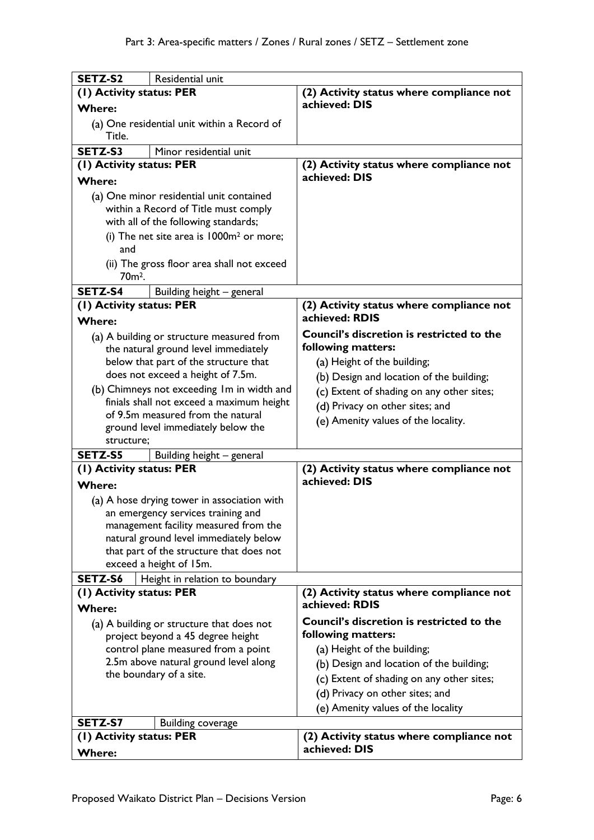| SETZ-S2                                   | Residential unit                                                                  |                                                  |
|-------------------------------------------|-----------------------------------------------------------------------------------|--------------------------------------------------|
| (I) Activity status: PER                  |                                                                                   | (2) Activity status where compliance not         |
| <b>Where:</b>                             |                                                                                   | achieved: DIS                                    |
|                                           |                                                                                   |                                                  |
| Title.                                    | (a) One residential unit within a Record of                                       |                                                  |
| SETZ-S3                                   | Minor residential unit                                                            |                                                  |
| (I) Activity status: PER                  |                                                                                   | (2) Activity status where compliance not         |
| <b>Where:</b>                             |                                                                                   | achieved: DIS                                    |
|                                           | (a) One minor residential unit contained                                          |                                                  |
|                                           | within a Record of Title must comply                                              |                                                  |
|                                           | with all of the following standards;                                              |                                                  |
|                                           | (i) The net site area is $1000m^2$ or more;                                       |                                                  |
| and                                       |                                                                                   |                                                  |
| 70 <sub>m<sup>2</sup>.</sub>              | (ii) The gross floor area shall not exceed                                        |                                                  |
| SETZ-S4                                   | Building height - general                                                         |                                                  |
| (I) Activity status: PER                  |                                                                                   | (2) Activity status where compliance not         |
| <b>Where:</b>                             |                                                                                   | achieved: RDIS                                   |
|                                           | (a) A building or structure measured from                                         | Council's discretion is restricted to the        |
|                                           | the natural ground level immediately                                              | following matters:                               |
|                                           | below that part of the structure that                                             | (a) Height of the building;                      |
|                                           | does not exceed a height of 7.5m.                                                 | (b) Design and location of the building;         |
|                                           | (b) Chimneys not exceeding Im in width and                                        | (c) Extent of shading on any other sites;        |
|                                           | finials shall not exceed a maximum height<br>of 9.5m measured from the natural    | (d) Privacy on other sites; and                  |
|                                           | ground level immediately below the                                                | (e) Amenity values of the locality.              |
| structure;                                |                                                                                   |                                                  |
| SETZ-S5                                   | Building height - general                                                         |                                                  |
| (1) Activity status: PER                  |                                                                                   | (2) Activity status where compliance not         |
| <b>Where:</b>                             |                                                                                   | achieved: DIS                                    |
|                                           |                                                                                   |                                                  |
|                                           | (a) A hose drying tower in association with<br>an emergency services training and |                                                  |
|                                           | management facility measured from the                                             |                                                  |
|                                           | natural ground level immediately below                                            |                                                  |
|                                           | that part of the structure that does not                                          |                                                  |
|                                           | exceed a height of 15m.                                                           |                                                  |
| SETZ-S6                                   | Height in relation to boundary                                                    |                                                  |
| (I) Activity status: PER                  |                                                                                   | (2) Activity status where compliance not         |
| <b>Where:</b>                             |                                                                                   | achieved: RDIS                                   |
| (a) A building or structure that does not |                                                                                   | <b>Council's discretion is restricted to the</b> |
|                                           | project beyond a 45 degree height                                                 | following matters:                               |
|                                           | control plane measured from a point                                               | (a) Height of the building;                      |
|                                           | 2.5m above natural ground level along                                             | (b) Design and location of the building;         |
|                                           | the boundary of a site.                                                           | (c) Extent of shading on any other sites;        |
|                                           |                                                                                   | (d) Privacy on other sites; and                  |
|                                           |                                                                                   | (e) Amenity values of the locality               |
| SETZ-S7                                   | <b>Building coverage</b>                                                          |                                                  |
| (I) Activity status: PER                  |                                                                                   | (2) Activity status where compliance not         |
| <b>Where:</b>                             |                                                                                   | achieved: DIS                                    |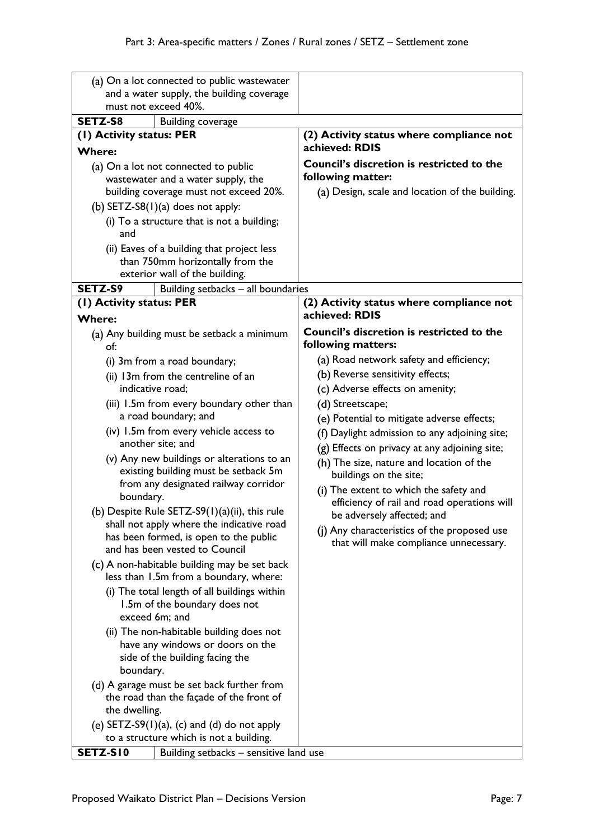| (a) On a lot connected to public wastewater                                                                                                                                                                                                                                                                                                                                                                                                                                                                                                                                                                                                                                                                                                                                                       |                                                                                                                                                                                                                                                                                                                                                                                                                                                                                                                                                                                                                                                    |
|---------------------------------------------------------------------------------------------------------------------------------------------------------------------------------------------------------------------------------------------------------------------------------------------------------------------------------------------------------------------------------------------------------------------------------------------------------------------------------------------------------------------------------------------------------------------------------------------------------------------------------------------------------------------------------------------------------------------------------------------------------------------------------------------------|----------------------------------------------------------------------------------------------------------------------------------------------------------------------------------------------------------------------------------------------------------------------------------------------------------------------------------------------------------------------------------------------------------------------------------------------------------------------------------------------------------------------------------------------------------------------------------------------------------------------------------------------------|
| and a water supply, the building coverage<br>must not exceed 40%.                                                                                                                                                                                                                                                                                                                                                                                                                                                                                                                                                                                                                                                                                                                                 |                                                                                                                                                                                                                                                                                                                                                                                                                                                                                                                                                                                                                                                    |
| SETZ-S8<br><b>Building coverage</b>                                                                                                                                                                                                                                                                                                                                                                                                                                                                                                                                                                                                                                                                                                                                                               |                                                                                                                                                                                                                                                                                                                                                                                                                                                                                                                                                                                                                                                    |
| (1) Activity status: PER                                                                                                                                                                                                                                                                                                                                                                                                                                                                                                                                                                                                                                                                                                                                                                          | (2) Activity status where compliance not                                                                                                                                                                                                                                                                                                                                                                                                                                                                                                                                                                                                           |
| <b>Where:</b>                                                                                                                                                                                                                                                                                                                                                                                                                                                                                                                                                                                                                                                                                                                                                                                     | achieved: RDIS                                                                                                                                                                                                                                                                                                                                                                                                                                                                                                                                                                                                                                     |
| (a) On a lot not connected to public<br>wastewater and a water supply, the<br>building coverage must not exceed 20%.<br>(b) $SETZ-S8(1)(a)$ does not apply:<br>(i) To a structure that is not a building;                                                                                                                                                                                                                                                                                                                                                                                                                                                                                                                                                                                         | Council's discretion is restricted to the<br>following matter:<br>(a) Design, scale and location of the building.                                                                                                                                                                                                                                                                                                                                                                                                                                                                                                                                  |
| and<br>(ii) Eaves of a building that project less<br>than 750mm horizontally from the<br>exterior wall of the building.                                                                                                                                                                                                                                                                                                                                                                                                                                                                                                                                                                                                                                                                           |                                                                                                                                                                                                                                                                                                                                                                                                                                                                                                                                                                                                                                                    |
| SETZ-S9<br>Building setbacks - all boundaries                                                                                                                                                                                                                                                                                                                                                                                                                                                                                                                                                                                                                                                                                                                                                     |                                                                                                                                                                                                                                                                                                                                                                                                                                                                                                                                                                                                                                                    |
| (1) Activity status: PER<br><b>Where:</b>                                                                                                                                                                                                                                                                                                                                                                                                                                                                                                                                                                                                                                                                                                                                                         | (2) Activity status where compliance not<br>achieved: RDIS                                                                                                                                                                                                                                                                                                                                                                                                                                                                                                                                                                                         |
| (a) Any building must be setback a minimum<br>of:<br>(i) 3m from a road boundary;<br>(ii) 13m from the centreline of an<br>indicative road:<br>(iii) 1.5m from every boundary other than<br>a road boundary; and<br>(iv) 1.5m from every vehicle access to<br>another site; and<br>(v) Any new buildings or alterations to an<br>existing building must be setback 5m<br>from any designated railway corridor<br>boundary.<br>(b) Despite Rule SETZ-S9(1)(a)(ii), this rule<br>shall not apply where the indicative road<br>has been formed, is open to the public<br>and has been vested to Council<br>(c) A non-habitable building may be set back<br>less than 1.5m from a boundary, where:<br>(i) The total length of all buildings within<br>1.5m of the boundary does not<br>exceed 6m; and | <b>Council's discretion is restricted to the</b><br>following matters:<br>(a) Road network safety and efficiency;<br>(b) Reverse sensitivity effects;<br>(c) Adverse effects on amenity;<br>(d) Streetscape;<br>(e) Potential to mitigate adverse effects;<br>(f) Daylight admission to any adjoining site;<br>(g) Effects on privacy at any adjoining site;<br>(h) The size, nature and location of the<br>buildings on the site;<br>(i) The extent to which the safety and<br>efficiency of rail and road operations will<br>be adversely affected; and<br>(j) Any characteristics of the proposed use<br>that will make compliance unnecessary. |
| (ii) The non-habitable building does not<br>have any windows or doors on the<br>side of the building facing the<br>boundary.<br>(d) A garage must be set back further from<br>the road than the façade of the front of<br>the dwelling.<br>(e) $SETZ-S9(1)(a)$ , (c) and (d) do not apply<br>to a structure which is not a building.<br>SETZ-SI0<br>Building setbacks - sensitive land use                                                                                                                                                                                                                                                                                                                                                                                                        |                                                                                                                                                                                                                                                                                                                                                                                                                                                                                                                                                                                                                                                    |